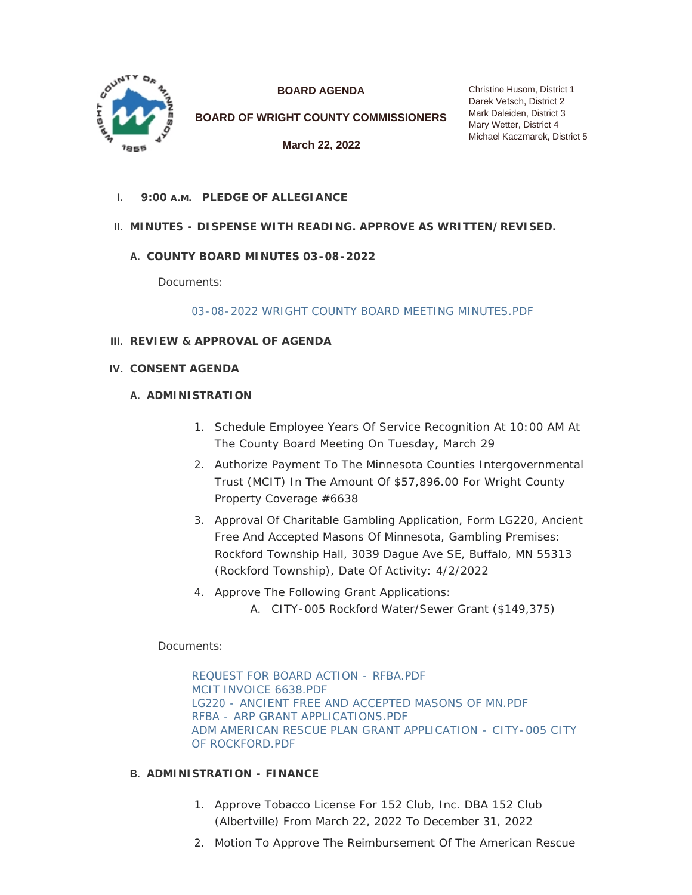

**BOARD AGENDA**

**BOARD OF WRIGHT COUNTY COMMISSIONERS**

**March 22, 2022**

Christine Husom, District 1 Darek Vetsch, District 2 Mark Daleiden, District 3 Mary Wetter, District 4 Michael Kaczmarek, District 5

**PLEDGE OF ALLEGIANCE I. 9:00 A.M.**

# **MINUTES - DISPENSE WITH READING. APPROVE AS WRITTEN/REVISED. II.**

# **COUNTY BOARD MINUTES 03-08-2022 A.**

Documents:

[03-08-2022 WRIGHT COUNTY BOARD MEETING MINUTES.PDF](https://www.co.wright.mn.us/AgendaCenter/ViewFile/Item/10459?fileID=22757)

- **REVIEW & APPROVAL OF AGENDA III.**
- **CONSENT AGENDA IV.**

# **A. ADMINISTRATION**

- 1. Schedule Employee Years Of Service Recognition At 10:00 AM At The County Board Meeting On Tuesday, March 29
- 2. Authorize Payment To The Minnesota Counties Intergovernmental Trust (MCIT) In The Amount Of \$57,896.00 For Wright County Property Coverage #6638
- 3. Approval Of Charitable Gambling Application, Form LG220, Ancient Free And Accepted Masons Of Minnesota, Gambling Premises: Rockford Township Hall, 3039 Dague Ave SE, Buffalo, MN 55313 (Rockford Township), Date Of Activity: 4/2/2022
- 4. Approve The Following Grant Applications:
	- A. CITY-005 Rockford Water/Sewer Grant (\$149,375)

Documents:

[REQUEST FOR BOARD ACTION - RFBA.PDF](https://www.co.wright.mn.us/AgendaCenter/ViewFile/Item/10426?fileID=22658) [MCIT INVOICE 6638.PDF](https://www.co.wright.mn.us/AgendaCenter/ViewFile/Item/10426?fileID=22659) [LG220 - ANCIENT FREE AND ACCEPTED MASONS OF MN.PDF](https://www.co.wright.mn.us/AgendaCenter/ViewFile/Item/10426?fileID=22772) [RFBA - ARP GRANT APPLICATIONS.PDF](https://www.co.wright.mn.us/AgendaCenter/ViewFile/Item/10426?fileID=22793) [ADM AMERICAN RESCUE PLAN GRANT APPLICATION - CITY-005 CITY](https://www.co.wright.mn.us/AgendaCenter/ViewFile/Item/10426?fileID=22792)  OF ROCKFORD.PDF

# **ADMINISTRATION - FINANCE B.**

- 1. Approve Tobacco License For 152 Club, Inc. DBA 152 Club (Albertville) From March 22, 2022 To December 31, 2022
- 2. Motion To Approve The Reimbursement Of The American Rescue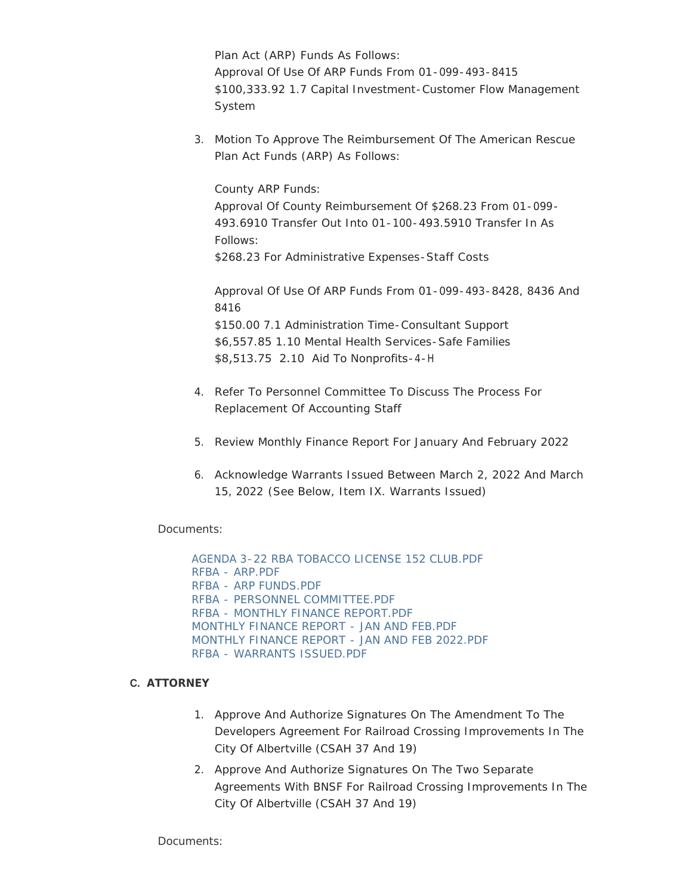Plan Act (ARP) Funds As Follows: Approval Of Use Of ARP Funds From 01-099-493-8415 \$100,333.92 1.7 Capital Investment-Customer Flow Management System

3. Motion To Approve The Reimbursement Of The American Rescue Plan Act Funds (ARP) As Follows:

County ARP Funds:

Approval Of County Reimbursement Of \$268.23 From 01-099- 493.6910 Transfer Out Into 01-100-493.5910 Transfer In As Follows: \$268.23 For Administrative Expenses-Staff Costs

Approval Of Use Of ARP Funds From 01-099-493-8428, 8436 And 8416 \$150.00 7.1 Administration Time-Consultant Support \$6,557.85 1.10 Mental Health Services-Safe Families \$8,513.75 2.10 Aid To Nonprofits-4-H

- 4. Refer To Personnel Committee To Discuss The Process For Replacement Of Accounting Staff
- 5. Review Monthly Finance Report For January And February 2022
- 6. Acknowledge Warrants Issued Between March 2, 2022 And March 15, 2022 *(See Below, Item IX. Warrants Issued)*

Documents:

[AGENDA 3-22 RBA TOBACCO LICENSE 152 CLUB.PDF](https://www.co.wright.mn.us/AgendaCenter/ViewFile/Item/10452?fileID=22739) [RFBA - ARP.PDF](https://www.co.wright.mn.us/AgendaCenter/ViewFile/Item/10452?fileID=22784) [RFBA - ARP FUNDS.PDF](https://www.co.wright.mn.us/AgendaCenter/ViewFile/Item/10452?fileID=22786) [RFBA - PERSONNEL COMMITTEE.PDF](https://www.co.wright.mn.us/AgendaCenter/ViewFile/Item/10452?fileID=22787) [RFBA - MONTHLY FINANCE REPORT.PDF](https://www.co.wright.mn.us/AgendaCenter/ViewFile/Item/10452?fileID=22788) [MONTHLY FINANCE REPORT - JAN AND FEB.PDF](https://www.co.wright.mn.us/AgendaCenter/ViewFile/Item/10452?fileID=22790) [MONTHLY FINANCE REPORT - JAN AND FEB 2022.PDF](https://www.co.wright.mn.us/AgendaCenter/ViewFile/Item/10452?fileID=22789) [RFBA - WARRANTS ISSUED.PDF](https://www.co.wright.mn.us/AgendaCenter/ViewFile/Item/10452?fileID=22785)

# **ATTORNEY C.**

- 1. Approve And Authorize Signatures On The Amendment To The Developers Agreement For Railroad Crossing Improvements In The City Of Albertville (CSAH 37 And 19)
- 2. Approve And Authorize Signatures On The Two Separate Agreements With BNSF For Railroad Crossing Improvements In The City Of Albertville (CSAH 37 And 19)

Documents: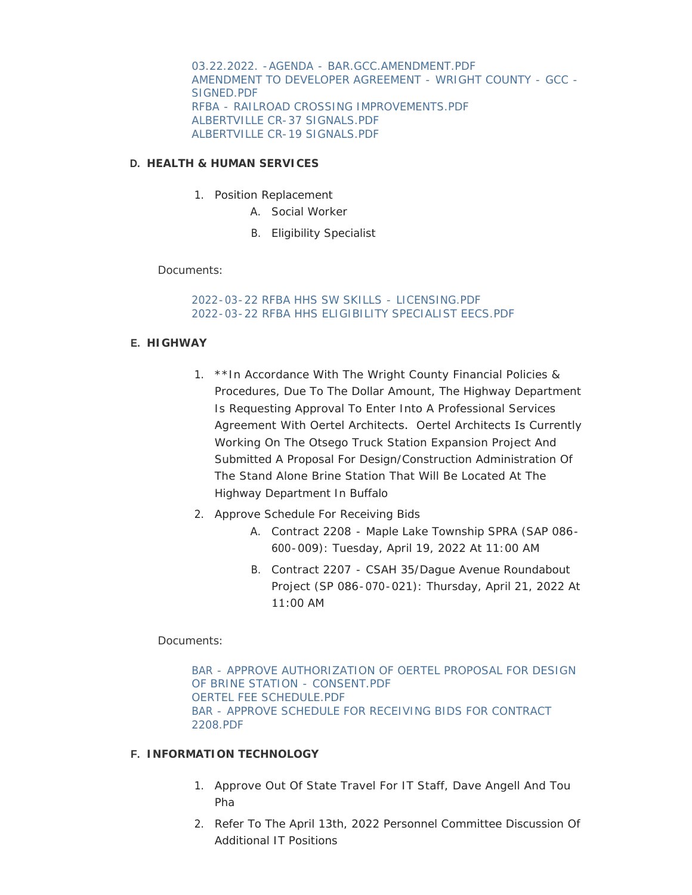[03.22.2022. -AGENDA - BAR.GCC.AMENDMENT.PDF](https://www.co.wright.mn.us/AgendaCenter/ViewFile/Item/10453?fileID=22740) [AMENDMENT TO DEVELOPER AGREEMENT - WRIGHT COUNTY - GCC -](https://www.co.wright.mn.us/AgendaCenter/ViewFile/Item/10453?fileID=22741) SIGNED.PDF [RFBA - RAILROAD CROSSING IMPROVEMENTS.PDF](https://www.co.wright.mn.us/AgendaCenter/ViewFile/Item/10453?fileID=22779) [ALBERTVILLE CR-37 SIGNALS.PDF](https://www.co.wright.mn.us/AgendaCenter/ViewFile/Item/10453?fileID=22780) [ALBERTVILLE CR-19 SIGNALS.PDF](https://www.co.wright.mn.us/AgendaCenter/ViewFile/Item/10453?fileID=22781)

#### **HEALTH & HUMAN SERVICES D.**

- 1. Position Replacement
	- A. Social Worker
	- B. Eligibility Specialist

Documents:

[2022-03-22 RFBA HHS SW SKILLS - LICENSING.PDF](https://www.co.wright.mn.us/AgendaCenter/ViewFile/Item/10427?fileID=22532) [2022-03-22 RFBA HHS ELIGIBILITY SPECIALIST EECS.PDF](https://www.co.wright.mn.us/AgendaCenter/ViewFile/Item/10427?fileID=22775)

#### **HIGHWAY E.**

- 1. \*\*In Accordance With The Wright County Financial Policies & Procedures, Due To The Dollar Amount, The Highway Department Is Requesting Approval To Enter Into A Professional Services Agreement With Oertel Architects. Oertel Architects Is Currently Working On The Otsego Truck Station Expansion Project And Submitted A Proposal For Design/Construction Administration Of The Stand Alone Brine Station That Will Be Located At The Highway Department In Buffalo
- 2. Approve Schedule For Receiving Bids
	- A. Contract 2208 Maple Lake Township SPRA (SAP 086- 600-009): Tuesday, April 19, 2022 At 11:00 AM
	- B. Contract 2207 CSAH 35/Dague Avenue Roundabout Project (SP 086-070-021): Thursday, April 21, 2022 At 11:00 AM

Documents:

[BAR - APPROVE AUTHORIZATION OF OERTEL PROPOSAL FOR DESIGN](https://www.co.wright.mn.us/AgendaCenter/ViewFile/Item/10472?fileID=22765)  OF BRINE STATION - CONSENT.PDF [OERTEL FEE SCHEDULE.PDF](https://www.co.wright.mn.us/AgendaCenter/ViewFile/Item/10472?fileID=22766) [BAR - APPROVE SCHEDULE FOR RECEIVING BIDS FOR CONTRACT](https://www.co.wright.mn.us/AgendaCenter/ViewFile/Item/10472?fileID=22783)  2208.PDF

# **INFORMATION TECHNOLOGY F.**

- 1. Approve Out Of State Travel For IT Staff, Dave Angell And Tou Pha
- 2. Refer To The April 13th, 2022 Personnel Committee Discussion Of Additional IT Positions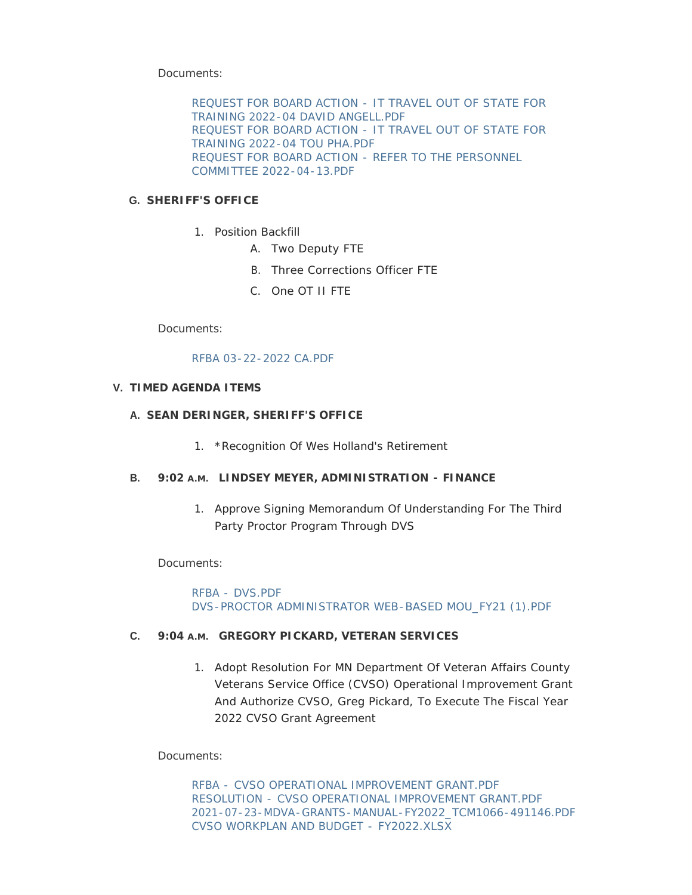Documents:

[REQUEST FOR BOARD ACTION - IT TRAVEL OUT OF STATE FOR](https://www.co.wright.mn.us/AgendaCenter/ViewFile/Item/10451?fileID=22735)  TRAINING 2022-04 DAVID ANGELL.PDF [REQUEST FOR BOARD ACTION - IT TRAVEL OUT OF STATE FOR](https://www.co.wright.mn.us/AgendaCenter/ViewFile/Item/10451?fileID=22736)  TRAINING 2022-04 TOU PHA.PDF [REQUEST FOR BOARD ACTION - REFER TO THE PERSONNEL](https://www.co.wright.mn.us/AgendaCenter/ViewFile/Item/10451?fileID=22768)  COMMITTEE 2022-04-13.PDF

# **SHERIFF'S OFFICE G.**

- 1. Position Backfill
	- A. Two Deputy FTE
	- B. Three Corrections Officer FTE
	- C. One OT II FTE

Documents:

#### [RFBA 03-22-2022 CA.PDF](https://www.co.wright.mn.us/AgendaCenter/ViewFile/Item/10455?fileID=22745)

# **TIMED AGENDA ITEMS V.**

#### **SEAN DERINGER, SHERIFF'S OFFICE A.**

1. \*Recognition Of Wes Holland's Retirement

# **B.** 9:02 A.M. LINDSEY MEYER, ADMINISTRATION - FINANCE

1. Approve Signing Memorandum Of Understanding For The Third Party Proctor Program Through DVS

Documents:

[RFBA - DVS.PDF](https://www.co.wright.mn.us/AgendaCenter/ViewFile/Item/10447?fileID=22737) [DVS-PROCTOR ADMINISTRATOR WEB-BASED MOU\\_FY21 \(1\).PDF](https://www.co.wright.mn.us/AgendaCenter/ViewFile/Item/10447?fileID=22667)

#### **C.** 9:04 A.M. GREGORY PICKARD, VETERAN SERVICES

1. Adopt Resolution For MN Department Of Veteran Affairs County Veterans Service Office (CVSO) Operational Improvement Grant And Authorize CVSO, Greg Pickard, To Execute The Fiscal Year 2022 CVSO Grant Agreement

Documents:

RFBA - [CVSO OPERATIONAL IMPROVEMENT GRANT.PDF](https://www.co.wright.mn.us/AgendaCenter/ViewFile/Item/10404?fileID=22485) RESOLUTION - [CVSO OPERATIONAL IMPROVEMENT GRANT.PDF](https://www.co.wright.mn.us/AgendaCenter/ViewFile/Item/10404?fileID=22486) [2021-07-23-MDVA-GRANTS-MANUAL-FY2022\\_TCM1066-491146.PDF](https://www.co.wright.mn.us/AgendaCenter/ViewFile/Item/10404?fileID=22455) [CVSO WORKPLAN AND BUDGET -](https://www.co.wright.mn.us/AgendaCenter/ViewFile/Item/10404?fileID=22456) FY2022.XLSX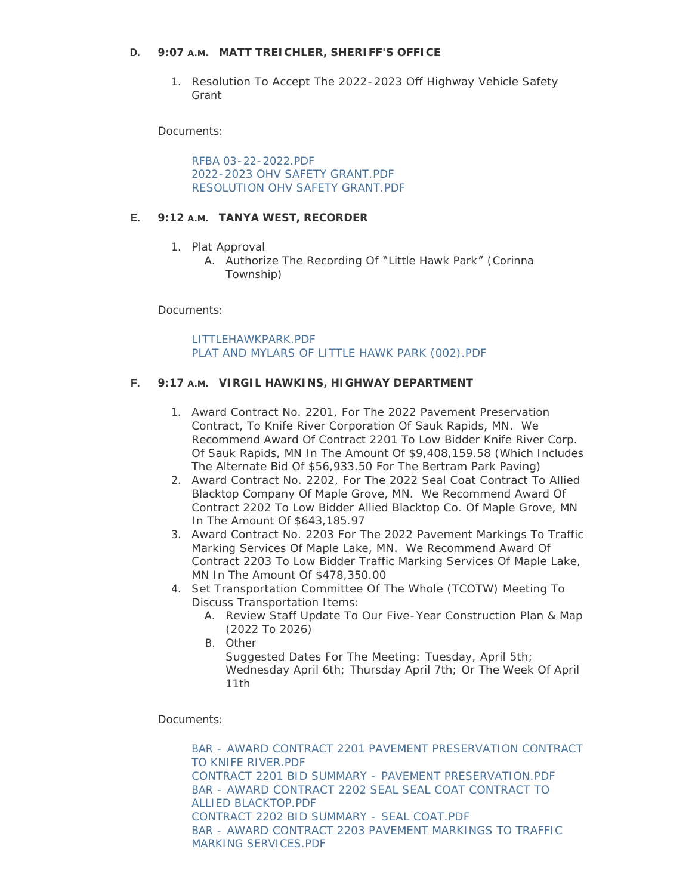# **MATT TREICHLER, SHERIFF'S OFFICE D. 9:07 A.M.**

1. Resolution To Accept The 2022-2023 Off Highway Vehicle Safety Grant

Documents:

[RFBA 03-22-2022.PDF](https://www.co.wright.mn.us/AgendaCenter/ViewFile/Item/10456?fileID=22746) [2022-2023 OHV SAFETY GRANT.PDF](https://www.co.wright.mn.us/AgendaCenter/ViewFile/Item/10456?fileID=22747) [RESOLUTION OHV SAFETY GRANT.PDF](https://www.co.wright.mn.us/AgendaCenter/ViewFile/Item/10456?fileID=22748)

# **E.** 9:12 A.M. TANYA WEST, RECORDER

- 1. Plat Approval
	- A. Authorize The Recording Of "Little Hawk Park" (Corinna Township)

Documents:

[LITTLEHAWKPARK.PDF](https://www.co.wright.mn.us/AgendaCenter/ViewFile/Item/10471?fileID=22763) [PLAT AND MYLARS OF LITTLE HAWK PARK \(002\).PDF](https://www.co.wright.mn.us/AgendaCenter/ViewFile/Item/10471?fileID=22764)

#### **VIRGIL HAWKINS, HIGHWAY DEPARTMENT F. 9:17 A.M.**

- 1. Award Contract No. 2201, For The 2022 Pavement Preservation Contract, To Knife River Corporation Of Sauk Rapids, MN. We Recommend Award Of Contract 2201 To Low Bidder Knife River Corp. Of Sauk Rapids, MN In The Amount Of \$9,408,159.58 (Which Includes The Alternate Bid Of \$56,933.50 For The Bertram Park Paving)
- 2. Award Contract No. 2202, For The 2022 Seal Coat Contract To Allied Blacktop Company Of Maple Grove, MN. We Recommend Award Of Contract 2202 To Low Bidder Allied Blacktop Co. Of Maple Grove, MN In The Amount Of \$643,185.97
- 3. Award Contract No. 2203 For The 2022 Pavement Markings To Traffic Marking Services Of Maple Lake, MN. We Recommend Award Of Contract 2203 To Low Bidder Traffic Marking Services Of Maple Lake, MN In The Amount Of \$478,350.00
- 4. Set Transportation Committee Of The Whole (TCOTW) Meeting To Discuss Transportation Items:
	- A. Review Staff Update To Our Five-Year Construction Plan & Map (2022 To 2026)
	- B. Other Suggested Dates For The Meeting: Tuesday, April 5th; Wednesday April 6th; Thursday April 7th; Or The Week Of April 11th

Documents:

[BAR - AWARD CONTRACT 2201 PAVEMENT PRESERVATION CONTRACT](https://www.co.wright.mn.us/AgendaCenter/ViewFile/Item/10458?fileID=22751)  TO KNIFE RIVER.PDF [CONTRACT 2201 BID SUMMARY - PAVEMENT PRESERVATION.PDF](https://www.co.wright.mn.us/AgendaCenter/ViewFile/Item/10458?fileID=22754) [BAR - AWARD CONTRACT 2202 SEAL SEAL COAT CONTRACT TO](https://www.co.wright.mn.us/AgendaCenter/ViewFile/Item/10458?fileID=22752)  ALLIED BLACKTOP.PDF [CONTRACT 2202 BID SUMMARY - SEAL COAT.PDF](https://www.co.wright.mn.us/AgendaCenter/ViewFile/Item/10458?fileID=22755) [BAR - AWARD CONTRACT 2203 PAVEMENT MARKINGS TO TRAFFIC](https://www.co.wright.mn.us/AgendaCenter/ViewFile/Item/10458?fileID=22753)  MARKING SERVICES.PDF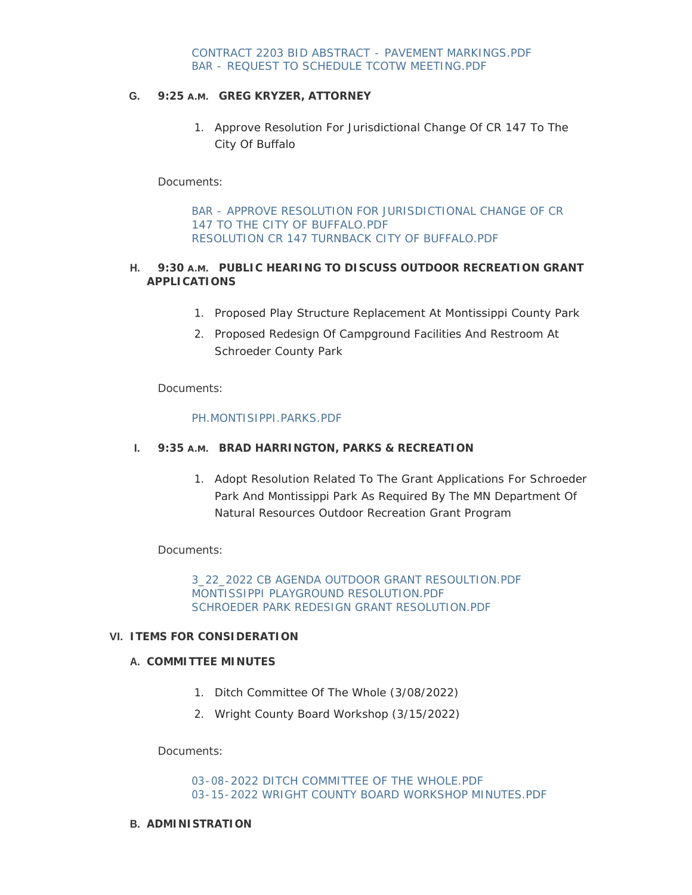# **G.** 9:25 A.M. GREG KRYZER, ATTORNEY

1. Approve Resolution For Jurisdictional Change Of CR 147 To The City Of Buffalo

#### Documents:

[BAR - APPROVE RESOLUTION FOR JURISDICTIONAL CHANGE OF CR](https://www.co.wright.mn.us/AgendaCenter/ViewFile/Item/10457?fileID=22749)  147 TO THE CITY OF BUFFALO.PDF [RESOLUTION CR 147 TURNBACK CITY OF BUFFALO.PDF](https://www.co.wright.mn.us/AgendaCenter/ViewFile/Item/10457?fileID=22750)

#### **H. 9:30 A.M. PUBLIC HEARING TO DISCUSS OUTDOOR RECREATION GRANT APPLICATIONS**

- 1. Proposed Play Structure Replacement At Montissippi County Park
- 2. Proposed Redesign Of Campground Facilities And Restroom At Schroeder County Park

Documents:

#### [PH.MONTISIPPI.PARKS.PDF](https://www.co.wright.mn.us/AgendaCenter/ViewFile/Item/10403?fileID=22791)

# **I.** 9:35 A.M. BRAD HARRINGTON, PARKS & RECREATION

1. Adopt Resolution Related To The Grant Applications For Schroeder Park And Montissippi Park As Required By The MN Department Of Natural Resources Outdoor Recreation Grant Program

# Documents:

[3\\_22\\_2022 CB AGENDA OUTDOOR GRANT RESOULTION.PDF](https://www.co.wright.mn.us/AgendaCenter/ViewFile/Item/10448?fileID=22719) [MONTISSIPPI PLAYGROUND RESOLUTION.PDF](https://www.co.wright.mn.us/AgendaCenter/ViewFile/Item/10448?fileID=22717) [SCHROEDER PARK REDESIGN GRANT RESOLUTION.PDF](https://www.co.wright.mn.us/AgendaCenter/ViewFile/Item/10448?fileID=22718)

# **ITEMS FOR CONSIDERATION VI.**

# **COMMITTEE MINUTES A.**

- 1. Ditch Committee Of The Whole (3/08/2022)
- 2. Wright County Board Workshop (3/15/2022)

Documents:

[03-08-2022 DITCH COMMITTEE OF THE WHOLE.PDF](https://www.co.wright.mn.us/AgendaCenter/ViewFile/Item/10446?fileID=22758) [03-15-2022 WRIGHT COUNTY BOARD WORKSHOP MINUTES.PDF](https://www.co.wright.mn.us/AgendaCenter/ViewFile/Item/10446?fileID=22794)

#### **ADMINISTRATION B.**